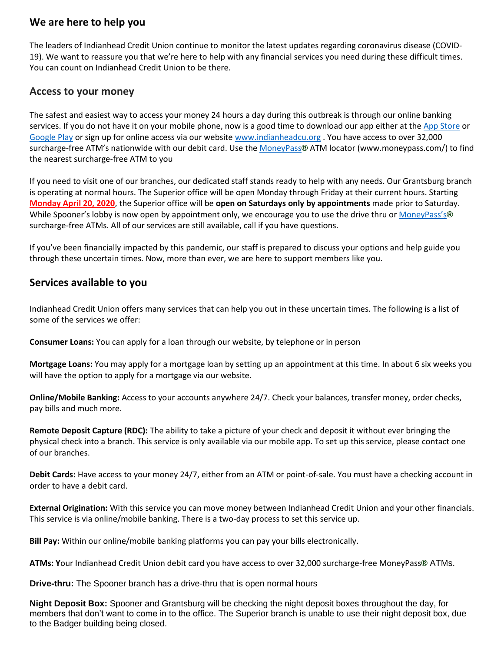### **We are here to help you**

The leaders of Indianhead Credit Union continue to monitor the latest updates regarding coronavirus disease (COVID-19). We want to reassure you that we're here to help with any financial services you need during these difficult times. You can count on Indianhead Credit Union to be there.

#### **Access to your money**

The safest and easiest way to access your money 24 hours a day during this outbreak is through our online banking services. If you do not have it on your mobile phone, now is a good time to download our app either at the [App Store](https://apps.apple.com/us/app/indianhead-credit-union/id1028049557) or [Google Play](https://play.google.com/store/search?q=indianheadcreditunion) or sign up for online access via our website [www.indianheadcu.org](http://www.indianheadcu.org/) . You have access to over 32,000 surcharge-free ATM's nationwide with our debit card. Use the [MoneyPass](https://moneypass.com/)**[®](https://www.indianheadcu.org/?xb=http%3A%2F%2Fmoneypass.com%2F)** ATM locator (www.moneypass.com/) to find the nearest surcharge-free ATM to you

If you need to visit one of our branches, our dedicated staff stands ready to help with any needs. Our Grantsburg branch is operating at normal hours. The Superior office will be open Monday through Friday at their current hours. Starting **Monday April 20, 2020**, the Superior office will be **open on Saturdays only by appointments** made prior to Saturday. While Spooner's lobby is now open by appointment only, we encourage you to use the drive thru or [MoneyPass's](https://moneypass.com/)**[®](https://www.indianheadcu.org/?xb=http%3A%2F%2Fmoneypass.com%2F)** surcharge-free ATMs. All of our services are still available, call if you have questions.

If you've been financially impacted by this pandemic, our staff is prepared to discuss your options and help guide you through these uncertain times. Now, more than ever, we are here to support members like you.

### **Services available to you**

Indianhead Credit Union offers many services that can help you out in these uncertain times. The following is a list of some of the services we offer:

**Consumer Loans:** You can apply for a loan through our website, by telephone or in person

**Mortgage Loans:** You may apply for a mortgage loan by setting up an appointment at this time. In about 6 six weeks you will have the option to apply for a mortgage via our website.

**Online/Mobile Banking:** Access to your accounts anywhere 24/7. Check your balances, transfer money, order checks, pay bills and much more.

**Remote Deposit Capture (RDC):** The ability to take a picture of your check and deposit it without ever bringing the physical check into a branch. This service is only available via our mobile app. To set up this service, please contact one of our branches.

**Debit Cards:** Have access to your money 24/7, either from an ATM or point-of-sale. You must have a checking account in order to have a debit card.

**External Origination:** With this service you can move money between Indianhead Credit Union and your other financials. This service is via online/mobile banking. There is a two-day process to set this service up.

**Bill Pay:** Within our online/mobile banking platforms you can pay your bills electronically.

**ATMs: Y**our Indianhead Credit Union debit card you have access to over 32,000 surcharge-free MoneyPass**[®](https://www.indianheadcu.org/?xb=http%3A%2F%2Fmoneypass.com%2F)** ATMs.

**Drive-thru:** The Spooner branch has a drive-thru that is open normal hours

**Night Deposit Box:** Spooner and Grantsburg will be checking the night deposit boxes throughout the day, for members that don't want to come in to the office. The Superior branch is unable to use their night deposit box, due to the Badger building being closed.